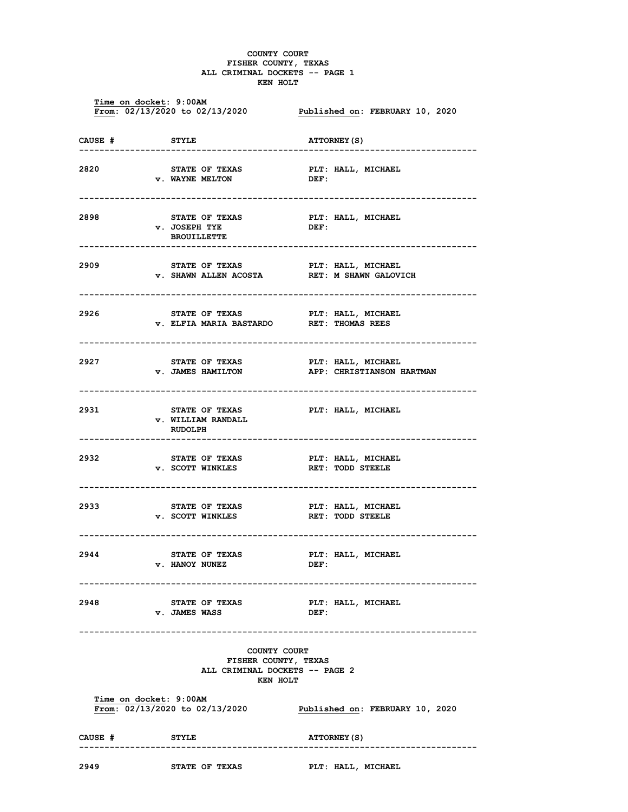## COUNTY COURT FISHER COUNTY, TEXAS ALL CRIMINAL DOCKETS -- PAGE 1 KEN HOLT

 Time on docket: 9:00AM From: 02/13/2020 to 02/13/2020 Published on: FEBRUARY 10, 2020 CAUSE # STYLE ATTORNEY(S) ------------------------------------------------------------------------------ 2820 STATE OF TEXAS PLT: HALL, MICHAEL<br>
v. WAYNE MELTON DEF: **v. WAYNE MELTON** ------------------------------------------------------------------------------ 2898 STATE OF TEXAS PLT: HALL, MICHAEL v. JOSEPH TYE DEF: BROUILLETTE<br>------------------------------------------------------------------------------------------------------------ 2909 STATE OF TEXAS PLT: HALL, MICHAEL v. SHAWN ALLEN ACOSTA RET: M SHAWN GALOVICH ------------------------------------------------------------------------------ 2926 STATE OF TEXAS PLT: HALL, MICHAEL<br>
v. ELFIA MARIA BASTARDO RET: THOMAS REES v. ELFIA MARIA BASTARDO ------------------------------------------------------------------------------ 2927 STATE OF TEXAS PLT: HALL, MICHAEL v. JAMES HAMILTON APP: CHRISTIANSON HARTMAN ------------------------------------------------------------------------------ 2931 STATE OF TEXAS PLT: HALL, MICHAEL v. WILLIAM RANDALL RUDOLPH ------------------------------------------------------------------------------ 2932 STATE OF TEXAS PLT: HALL, MICHAEL<br>
v. SCOTT WINKLES RET: TODD STEELE v. SCOTT WINKLES ------------------------------------------------------------------------------ 2933 STATE OF TEXAS PLT: HALL, MICHAEL v. SCOTT WINKLES RET: TODD STEELE ------------------------------------------------------------------------------ 2944 STATE OF TEXAS PLT: HALL, MICHAEL v. HANOY NUNEZ DEF: ------------------------------------------------------------------------------ 2948 STATE OF TEXAS PLT: HALL, MICHAEL v. JAMES WASS DEF: ------------------------------------------------------------------------------ COUNTY COURT FISHER COUNTY, TEXAS ALL CRIMINAL DOCKETS -- PAGE 2 KEN HOLT Time on docket: 9:00AM<br>From: 02/13/2020 to 02/13/2020 Published on: FEBRUARY 10, 2020 CAUSE # STYLE STYLE ATTORNEY(S) ------------------------------------------------------------------------------ 2949 STATE OF TEXAS PLT: HALL, MICHAEL